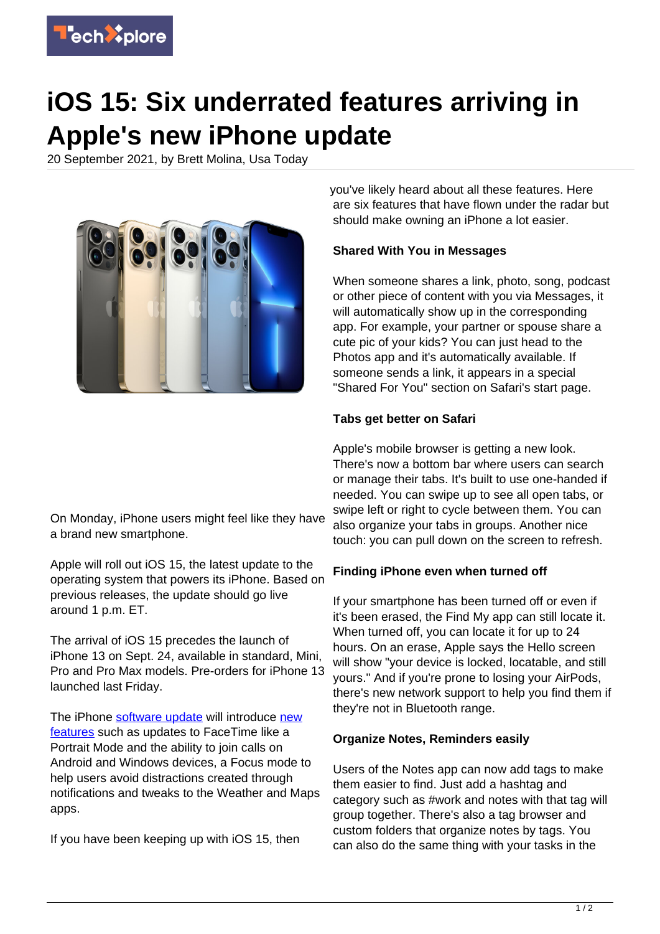

# **iOS 15: Six underrated features arriving in Apple's new iPhone update**

20 September 2021, by Brett Molina, Usa Today



On Monday, iPhone users might feel like they have a brand new smartphone.

Apple will roll out iOS 15, the latest update to the operating system that powers its iPhone. Based on previous releases, the update should go live around 1 p.m. ET.

The arrival of iOS 15 precedes the launch of iPhone 13 on Sept. 24, available in standard, Mini, Pro and Pro Max models. Pre-orders for iPhone 13 launched last Friday.

The iPhone [software update](https://techxplore.com/tags/software+update/) will introduce [new](https://techxplore.com/tags/new+features/) [features](https://techxplore.com/tags/new+features/) such as updates to FaceTime like a Portrait Mode and the ability to join calls on Android and Windows devices, a Focus mode to help users avoid distractions created through notifications and tweaks to the Weather and Maps apps.

If you have been keeping up with iOS 15, then

you've likely heard about all these features. Here are six features that have flown under the radar but should make owning an iPhone a lot easier.

# **Shared With You in Messages**

When someone shares a link, photo, song, podcast or other piece of content with you via Messages, it will automatically show up in the corresponding app. For example, your partner or spouse share a cute pic of your kids? You can just head to the Photos app and it's automatically available. If someone sends a link, it appears in a special "Shared For You" section on Safari's start page.

## **Tabs get better on Safari**

Apple's mobile browser is getting a new look. There's now a bottom bar where users can search or manage their tabs. It's built to use one-handed if needed. You can swipe up to see all open tabs, or swipe left or right to cycle between them. You can also organize your tabs in groups. Another nice touch: you can pull down on the screen to refresh.

#### **Finding iPhone even when turned off**

If your smartphone has been turned off or even if it's been erased, the Find My app can still locate it. When turned off, you can locate it for up to 24 hours. On an erase, Apple says the Hello screen will show "your device is locked, locatable, and still yours." And if you're prone to losing your AirPods, there's new network support to help you find them if they're not in Bluetooth range.

#### **Organize Notes, Reminders easily**

Users of the Notes app can now add tags to make them easier to find. Just add a hashtag and category such as #work and notes with that tag will group together. There's also a tag browser and custom folders that organize notes by tags. You can also do the same thing with your tasks in the